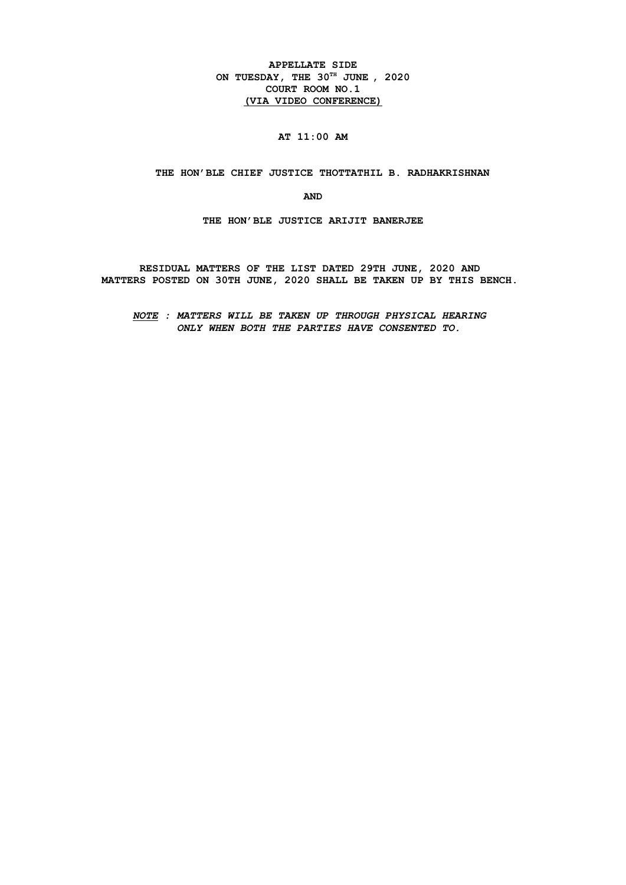**APPELLATE SIDE ON TUESDAY, THE 30TH JUNE , 2020 COURT ROOM NO.1 (VIA VIDEO CONFERENCE)**

# **AT 11:00 AM**

 **THE HON'BLE CHIEF JUSTICE THOTTATHIL B. RADHAKRISHNAN**

**AND**

**THE HON'BLE JUSTICE ARIJIT BANERJEE**

**RESIDUAL MATTERS OF THE LIST DATED 29TH JUNE, 2020 AND MATTERS POSTED ON 30TH JUNE, 2020 SHALL BE TAKEN UP BY THIS BENCH.** 

*NOTE : MATTERS WILL BE TAKEN UP THROUGH PHYSICAL HEARING ONLY WHEN BOTH THE PARTIES HAVE CONSENTED TO.*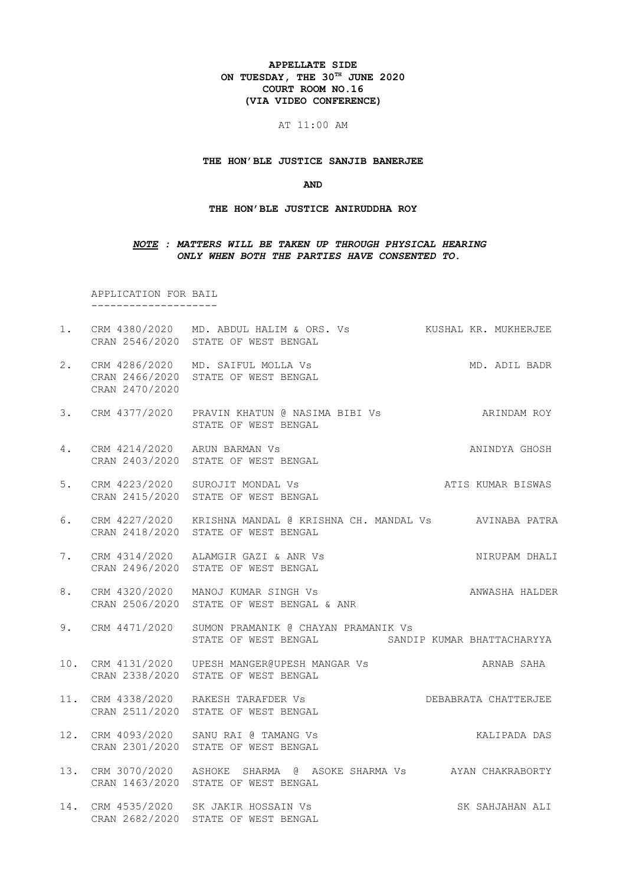#### **APPELLATE SIDE ON TUESDAY, THE 30TH JUNE 2020 COURT ROOM NO.16 (VIA VIDEO CONFERENCE)**

#### AT 11:00 AM

#### **THE HON'BLE JUSTICE SANJIB BANERJEE**

#### **AND**

#### **THE HON'BLE JUSTICE ANIRUDDHA ROY**

#### *NOTE : MATTERS WILL BE TAKEN UP THROUGH PHYSICAL HEARING ONLY WHEN BOTH THE PARTIES HAVE CONSENTED TO.*

 APPLICATION FOR BAIL --------------------

- 1. CRM 4380/2020 MD. ABDUL HALIM & ORS. Vs KUSHAL KR. MUKHERJEE CRAN 2546/2020 STATE OF WEST BENGAL
- 2. CRM 4286/2020 MD. SAIFUL MOLLA Vs MD. ADIL BADR CRAN 2466/2020 STATE OF WEST BENGAL CRAN 2470/2020
- 3. CRM 4377/2020 PRAVIN KHATUN @ NASIMA BIBI Vs ARINDAM ROY STATE OF WEST BENGAL
- 4. CRM 4214/2020 ARUN BARMAN Vs ANINDYA GHOSH CRAN 2403/2020 STATE OF WEST BENGAL
- 5. CRM 4223/2020 SUROJIT MONDAL Vs **ATIS KUMAR BISWAS** CRAN 2415/2020 STATE OF WEST BENGAL
- 6. CRM 4227/2020 KRISHNA MANDAL @ KRISHNA CH. MANDAL Vs AVINABA PATRA CRAN 2418/2020 STATE OF WEST BENGAL
- 7. CRM 4314/2020 ALAMGIR GAZI & ANR Vs NIRUPAM DHALI CRAN 2496/2020 STATE OF WEST BENGAL
- 8. CRM 4320/2020 MANOJ KUMAR SINGH Vs ANWASHA HALDER CRAN 2506/2020 STATE OF WEST BENGAL & ANR
- 9. CRM 4471/2020 SUMON PRAMANIK @ CHAYAN PRAMANIK Vs STATE OF WEST BENGAL SANDIP KUMAR BHATTACHARYYA
- 10. CRM 4131/2020 UPESH MANGER@UPESH MANGAR Vs ARNAB SAHA CRAN 2338/2020 STATE OF WEST BENGAL
- 11. CRM 4338/2020 RAKESH TARAFDER Vs DEBABRATA CHATTERJEE CRAN 2511/2020 STATE OF WEST BENGAL
- 12. CRM 4093/2020 SANU RAI @ TAMANG Vs KALIPADA DAS CRAN 2301/2020 STATE OF WEST BENGAL
- 13. CRM 3070/2020 ASHOKE SHARMA @ ASOKE SHARMA Vs AYAN CHAKRABORTY CRAN 1463/2020 STATE OF WEST BENGAL
- 14. CRM 4535/2020 SK JAKIR HOSSAIN Vs SK SAHJAHAN ALI CRAN 2682/2020 STATE OF WEST BENGAL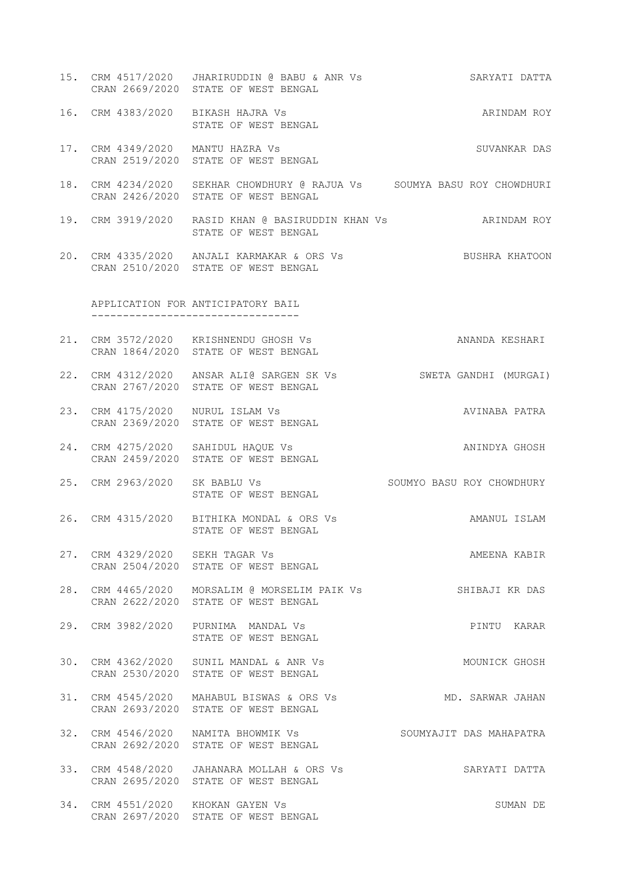15. CRM 4517/2020 JHARIRUDDIN @ BABU & ANR Vs SARYATI DATTA CRAN 2669/2020 STATE OF WEST BENGAL 16. CRM 4383/2020 BIKASH HAJRA Vs ARINDAM ROY STATE OF WEST BENGAL 17. CRM 4349/2020 MANTU HAZRA Vs SUVANKAR DAS CRAN 2519/2020 STATE OF WEST BENGAL 18. CRM 4234/2020 SEKHAR CHOWDHURY @ RAJUA Vs SOUMYA BASU ROY CHOWDHURI CRAN 2426/2020 STATE OF WEST BENGAL 19. CRM 3919/2020 RASID KHAN @ BASIRUDDIN KHAN Vs ARINDAM ROY STATE OF WEST BENGAL 20. CRM 4335/2020 ANJALI KARMAKAR & ORS Vs BUSHRA KHATOON CRAN 2510/2020 STATE OF WEST BENGAL APPLICATION FOR ANTICIPATORY BAIL --------------------------------- 21. CRM 3572/2020 KRISHNENDU GHOSH Vs ANANDA KESHARI CRAN 1864/2020 STATE OF WEST BENGAL 22. CRM 4312/2020 ANSAR ALI@ SARGEN SK Vs SWETA GANDHI (MURGAI) CRAN 2767/2020 STATE OF WEST BENGAL 23. CRM 4175/2020 NURUL ISLAM Vs AVINABA PATRA CRAN 2369/2020 STATE OF WEST BENGAL 24. CRM 4275/2020 SAHIDUL HAQUE VS ANIMOVA GHOSH CRAN 2459/2020 STATE OF WEST BENGAL 25. CRM 2963/2020 SK BABLU Vs SOUMYO BASU ROY CHOWDHURY STATE OF WEST BENGAL 26. CRM 4315/2020 BITHIKA MONDAL & ORS Vs AMANUL ISLAM STATE OF WEST BENGAL 27. CRM 4329/2020 SEKH TAGAR Vs AMEENA KABIR CRAN 2504/2020 STATE OF WEST BENGAL 28. CRM 4465/2020 MORSALIM @ MORSELIM PAIK Vs SHIBAJI KR DAS CRAN 2622/2020 STATE OF WEST BENGAL 29. CRM 3982/2020 PURNIMA MANDAL Vs PINTU KARAR STATE OF WEST BENGAL 30. CRM 4362/2020 SUNIL MANDAL & ANR Vs MOUNICK GHOSH CRAN 2530/2020 STATE OF WEST BENGAL 31. CRM 4545/2020 MAHABUL BISWAS & ORS Vs MD. SARWAR JAHAN CRAN 2693/2020 STATE OF WEST BENGAL 32. CRM 4546/2020 NAMITA BHOWMIK Vs SOUMYAJIT DAS MAHAPATRA CRAN 2692/2020 STATE OF WEST BENGAL 33. CRM 4548/2020 JAHANARA MOLLAH & ORS Vs SARYATI DATTA CRAN 2695/2020 STATE OF WEST BENGAL 34. CRM 4551/2020 KHOKAN GAYEN Vs SUMAN DE CRAN 2697/2020 STATE OF WEST BENGAL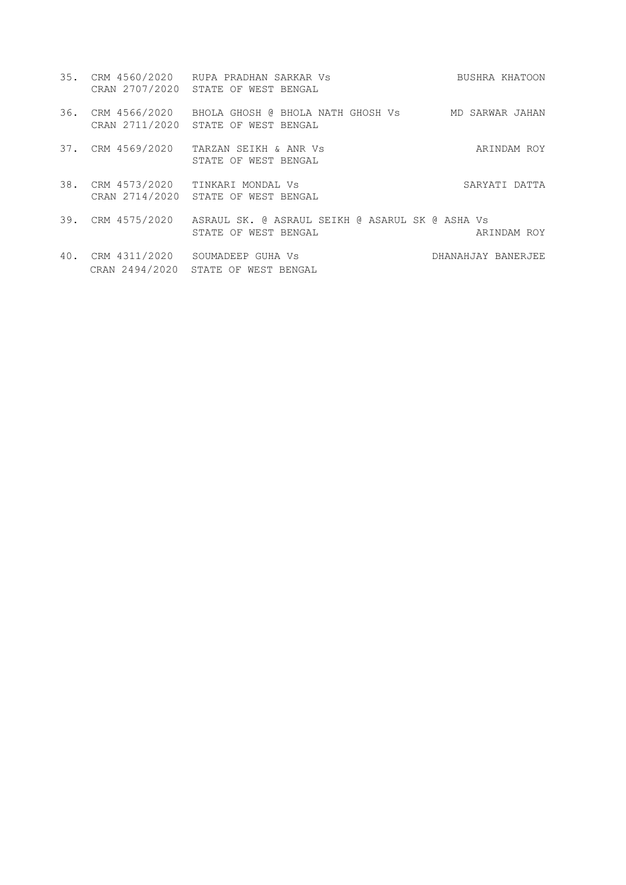|     |                   | 35. CRM 4560/2020 RUPA PRADHAN SARKAR Vs<br>CRAN 2707/2020 STATE OF WEST BENGAL                                  | BUSHRA KHATOON     |
|-----|-------------------|------------------------------------------------------------------------------------------------------------------|--------------------|
| 36. |                   | CRM 4566/2020   BHOLA GHOSH @ BHOLA NATH GHOSH Vs         MD SARWAR JAHAN<br>CRAN 2711/2020 STATE OF WEST BENGAL |                    |
|     | 37. CRM 4569/2020 | TARZAN SEIKH & ANR VS<br>STATE OF WEST BENGAL                                                                    | ARINDAM ROY        |
| 38. |                   | CRM 4573/2020 TINKARI MONDAL Vs<br>CRAN 2714/2020 STATE OF WEST BENGAL                                           | SARYATI DATTA      |
|     |                   | 39. CRM 4575/2020 ASRAUL SK. @ ASRAUL SEIKH @ ASARUL SK @ ASHA Vs<br>STATE OF WEST BENGAL                        | ARINDAM ROY        |
|     | CRAN 2494/2020    | 40. CRM 4311/2020 SOUMADEEP GUHA Vs<br>STATE OF WEST BENGAL                                                      | DHANAHJAY BANERJEE |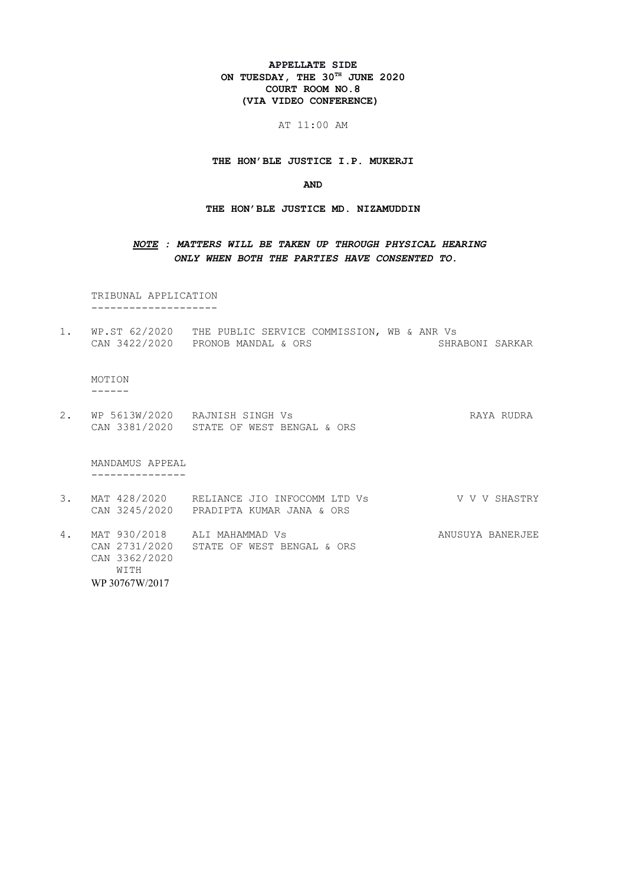### **APPELLATE SIDE ON TUESDAY, THE 30TH JUNE 2020 COURT ROOM NO.8 (VIA VIDEO CONFERENCE)**

AT 11:00 AM

**THE HON'BLE JUSTICE I.P. MUKERJI**

**AND**

**THE HON'BLE JUSTICE MD. NIZAMUDDIN**

## *NOTE : MATTERS WILL BE TAKEN UP THROUGH PHYSICAL HEARING ONLY WHEN BOTH THE PARTIES HAVE CONSENTED TO.*

 TRIBUNAL APPLICATION --------------------

1. WP.ST 62/2020 THE PUBLIC SERVICE COMMISSION, WB & ANR Vs<br>CAN 3422/2020 PRONOB MANDAL & ORS SHRABONI SARKAR  $CAN 3422/2020$  PRONOB MANDAL & ORS

 MOTION ------

2. WP 5613W/2020 RAJNISH SINGH Vs RAYA RUDRA CAN 3381/2020 STATE OF WEST BENGAL & ORS

MANDAMUS APPEAL

---------------

- 3. MAT 428/2020 RELIANCE JIO INFOCOMM LTD Vs V V V SHASTRY CAN 3245/2020 PRADIPTA KUMAR JANA & ORS
- 4. MAT 930/2018 ALI MAHAMMAD Vs ANUSUYA BANERJEE CAN 2731/2020 STATE OF WEST BENGAL & ORS CAN 3362/2020 WITH WP 30767W/2017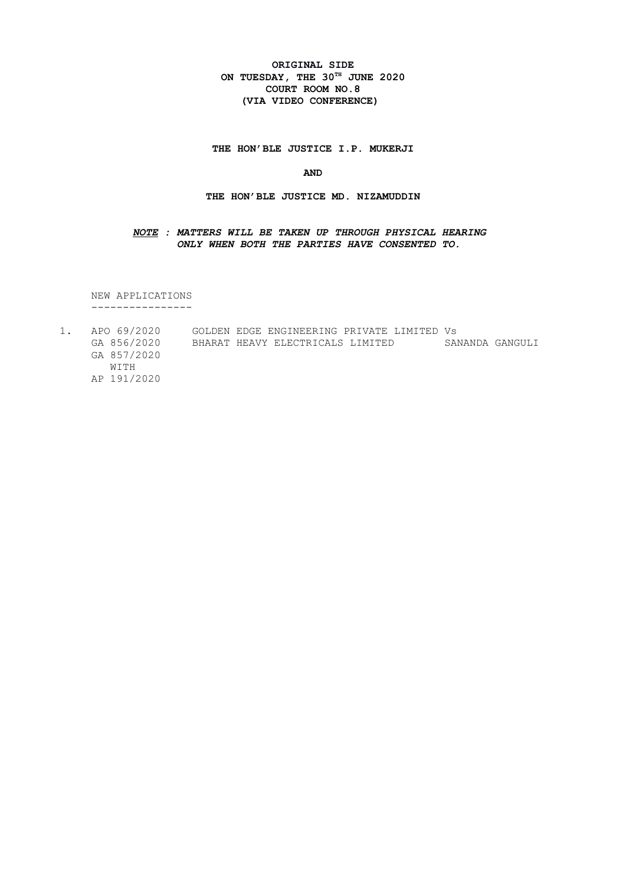### **ORIGINAL SIDE ON TUESDAY, THE 30TH JUNE 2020 COURT ROOM NO.8 (VIA VIDEO CONFERENCE)**

**THE HON'BLE JUSTICE I.P. MUKERJI**

**AND**

#### **THE HON'BLE JUSTICE MD. NIZAMUDDIN**

#### *NOTE : MATTERS WILL BE TAKEN UP THROUGH PHYSICAL HEARING ONLY WHEN BOTH THE PARTIES HAVE CONSENTED TO.*

NEW APPLICATIONS ----------------

 $1.$ 1. APO 69/2020 GOLDEN EDGE ENGINEERING PRIVATE LIMITED Vs GA 856/2020 BHARAT HEAVY ELECTRICALS LIMITED SANANDA GANGULI GA 857/2020 WITH AP 191/2020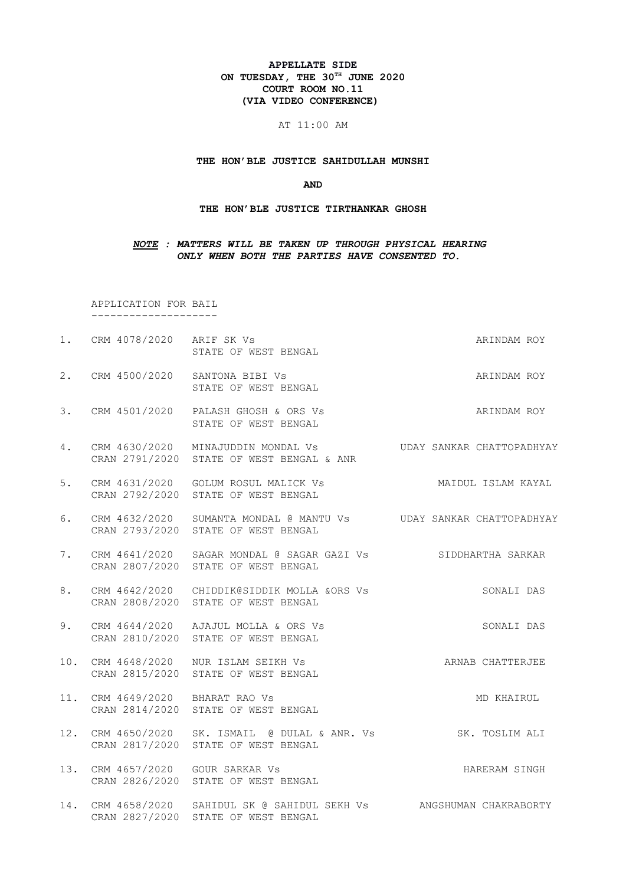#### **APPELLATE SIDE ON TUESDAY, THE 30TH JUNE 2020 COURT ROOM NO.11 (VIA VIDEO CONFERENCE)**

#### AT 11:00 AM

#### **THE HON'BLE JUSTICE SAHIDULLAH MUNSHI**

#### **AND**

#### **THE HON'BLE JUSTICE TIRTHANKAR GHOSH**

#### *NOTE : MATTERS WILL BE TAKEN UP THROUGH PHYSICAL HEARING ONLY WHEN BOTH THE PARTIES HAVE CONSENTED TO.*

 APPLICATION FOR BAIL --------------------

- 1. CRM 4078/2020 ARIF SK Vs **ARINDAM ROY** STATE OF WEST BENGAL
- 2. CRM 4500/2020 SANTONA BIBI Vs ARINDAM ROY STATE OF WEST BENGAL
- 3. CRM 4501/2020 PALASH GHOSH & ORS Vs ARINDAM ROY STATE OF WEST BENGAL
- 4. CRM 4630/2020 MINAJUDDIN MONDAL Vs UDAY SANKAR CHATTOPADHYAY CRAN 2791/2020 STATE OF WEST BENGAL & ANR
- 5. CRM 4631/2020 GOLUM ROSUL MALICK Vs MAIDUL ISLAM KAYAL CRAN 2792/2020 STATE OF WEST BENGAL
- 6. CRM 4632/2020 SUMANTA MONDAL @ MANTU Vs UDAY SANKAR CHATTOPADHYAY CRAN 2793/2020 STATE OF WEST BENGAL
- 7. CRM 4641/2020 SAGAR MONDAL @ SAGAR GAZI Vs SIDDHARTHA SARKAR CRAN 2807/2020 STATE OF WEST BENGAL
- 8. CRM 4642/2020 CHIDDIK@SIDDIK MOLLA &ORS Vs SONALI DAS CRAN 2808/2020 STATE OF WEST BENGAL
- 9. CRM 4644/2020 AJAJUL MOLLA & ORS Vs SONALI DAS CRAN 2810/2020 STATE OF WEST BENGAL
- 10. CRM 4648/2020 NUR ISLAM SEIKH Vs ARNAB CHATTERJEE CRAN 2815/2020 STATE OF WEST BENGAL
- 11. CRM 4649/2020 BHARAT RAO Vs MD KHAIRUL CRAN 2814/2020 STATE OF WEST BENGAL
- 12. CRM 4650/2020 SK. ISMAIL @ DULAL & ANR. Vs SK. TOSLIM ALI CRAN 2817/2020 STATE OF WEST BENGAL
- 13. CRM 4657/2020 GOUR SARKAR Vs **HARERAM SINGH** CRAN 2826/2020 STATE OF WEST BENGAL
- 14. CRM 4658/2020 SAHIDUL SK @ SAHIDUL SEKH Vs ANGSHUMAN CHAKRABORTY CRAN 2827/2020 STATE OF WEST BENGAL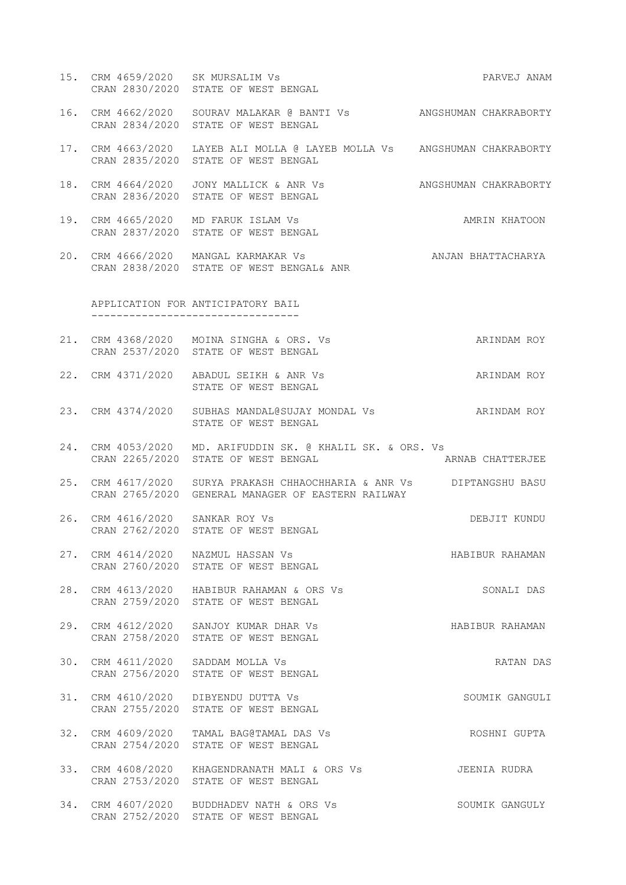- 15. CRM 4659/2020 SK MURSALIM Vs PARVEJ ANAM CRAN 2830/2020 STATE OF WEST BENGAL
- 16. CRM 4662/2020 SOURAV MALAKAR @ BANTI Vs ANGSHUMAN CHAKRABORTY CRAN 2834/2020 STATE OF WEST BENGAL
- 17. CRM 4663/2020 LAYEB ALI MOLLA @ LAYEB MOLLA Vs ANGSHUMAN CHAKRABORTY CRAN 2835/2020 STATE OF WEST BENGAL
- 18. CRM 4664/2020 JONY MALLICK & ANR Vs ANGSHUMAN CHAKRABORTY CRAN 2836/2020 STATE OF WEST BENGAL
- 19. CRM 4665/2020 MD FARUK ISLAM Vs AMRIN KHATOON CRAN 2837/2020 STATE OF WEST BENGAL
- 20. CRM 4666/2020 MANGAL KARMAKAR Vs ANJAN BHATTACHARYA CRAN 2838/2020 STATE OF WEST BENGAL& ANR

 APPLICATION FOR ANTICIPATORY BAIL ---------------------------------

- 21. CRM 4368/2020 MOINA SINGHA & ORS. Vs ARINDAM ROY CRAN 2537/2020 STATE OF WEST BENGAL
- 22. CRM 4371/2020 ABADUL SEIKH & ANR Vs ARINDAM ROY STATE OF WEST BENGAL
- 23. CRM 4374/2020 SUBHAS MANDAL@SUJAY MONDAL Vs ARINDAM ROY STATE OF WEST BENGAL
- 24. CRM 4053/2020 MD. ARIFUDDIN SK. @ KHALIL SK. & ORS. Vs CRAN 2265/2020 STATE OF WEST BENGAL ARNAB CHATTERJEE
- 25. CRM 4617/2020 SURYA PRAKASH CHHAOCHHARIA & ANR Vs DIPTANGSHU BASU CRAN 2765/2020 GENERAL MANAGER OF EASTERN RAILWAY
- 26. CRM 4616/2020 SANKAR ROY Vs DEBJIT KUNDU CRAN 2762/2020 STATE OF WEST BENGAL
- 27. CRM 4614/2020 NAZMUL HASSAN Vs Sand Control Habibur Rahaman CRAN 2760/2020 STATE OF WEST BENGAL
- 28. CRM 4613/2020 HABIBUR RAHAMAN & ORS Vs SONALI DAS CRAN 2759/2020 STATE OF WEST BENGAL
- 29. CRM 4612/2020 SANJOY KUMAR DHAR Vs HABIBUR RAHAMAN CRAN 2758/2020 STATE OF WEST BENGAL
- 30. CRM 4611/2020 SADDAM MOLLA Vs RATAN DAS CRAN 2756/2020 STATE OF WEST BENGAL
- 31. CRM 4610/2020 DIBYENDU DUTTA Vs SOUMIK GANGULI CRAN 2755/2020 STATE OF WEST BENGAL
- 32. CRM 4609/2020 TAMAL BAG@TAMAL DAS Vs ROSHNI GUPTA CRAN 2754/2020 STATE OF WEST BENGAL
- 33. CRM 4608/2020 KHAGENDRANATH MALI & ORS Vs JEENIA RUDRA CRAN 2753/2020 STATE OF WEST BENGAL
- 34. CRM 4607/2020 BUDDHADEV NATH & ORS Vs SOUMIK GANGULY CRAN 2752/2020 STATE OF WEST BENGAL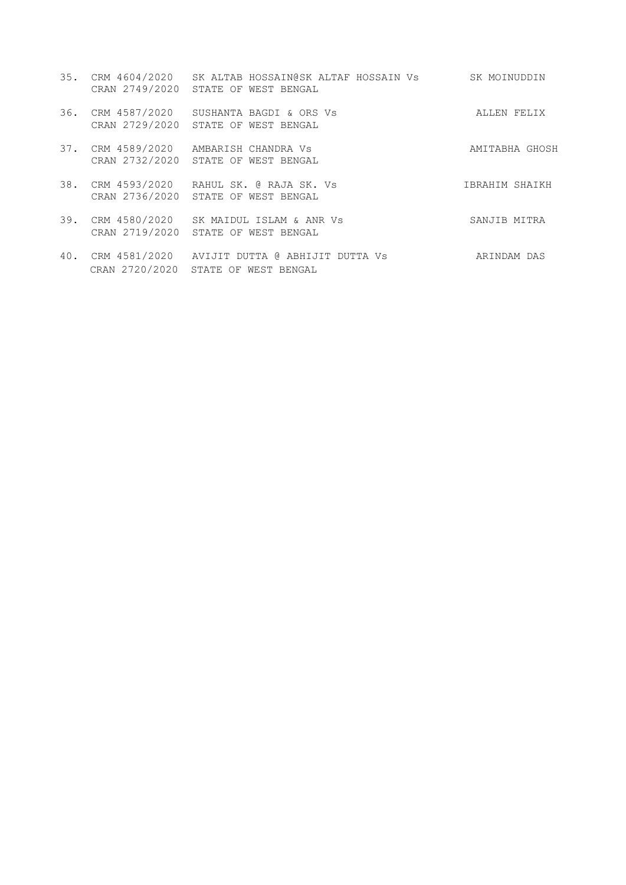- 35. CRM 4604/2020 SK ALTAB HOSSAIN@SK ALTAF HOSSAIN Vs SK MOINUDDIN CRAN 2749/2020 STATE OF WEST BENGAL
- 36. CRM 4587/2020 SUSHANTA BAGDI & ORS Vs ALLEN FELIX CRAN 2729/2020 STATE OF WEST BENGAL
- 37. CRM 4589/2020 AMBARISH CHANDRA Vs AMITABHA GHOSH CRAN 2732/2020 STATE OF WEST BENGAL
- 38. CRM 4593/2020 RAHUL SK. @ RAJA SK. Vs IBRAHIM SHAIKH CRAN 2736/2020 STATE OF WEST BENGAL
- 39. CRM 4580/2020 SK MAIDUL ISLAM & ANR Vs SANJIB MITRA CRAN 2719/2020 STATE OF WEST BENGAL
- 40. CRM 4581/2020 AVIJIT DUTTA @ ABHIJIT DUTTA Vs ARINDAM DAS CRAN 2720/2020 STATE OF WEST BENGAL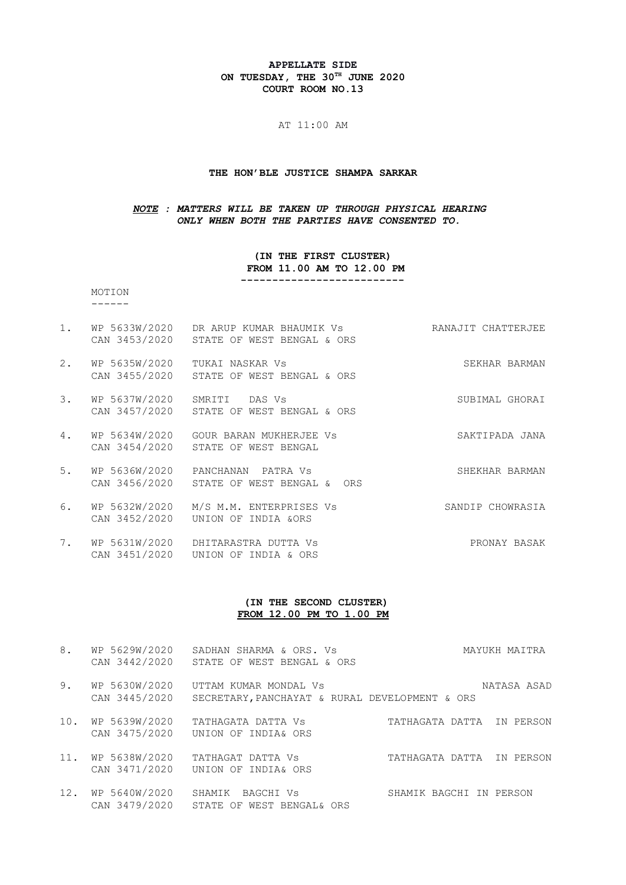#### **APPELLATE SIDE ON TUESDAY, THE 30TH JUNE 2020 COURT ROOM NO.13**

#### AT 11:00 AM

#### **THE HON'BLE JUSTICE SHAMPA SARKAR**

#### *NOTE : MATTERS WILL BE TAKEN UP THROUGH PHYSICAL HEARING ONLY WHEN BOTH THE PARTIES HAVE CONSENTED TO.*

#### **(IN THE FIRST CLUSTER) FROM 11.00 AM TO 12.00 PM**

 **--------------------------**

#### MOTION ------

- 1. WP 5633W/2020 DR ARUP KUMAR BHAUMIK Vs **RANAJIT CHATTERJEE** CAN 3453/2020 STATE OF WEST BENGAL & ORS
- 2. WP 5635W/2020 TUKAI NASKAR Vs SEKHAR BARMAN CAN 3455/2020 STATE OF WEST BENGAL & ORS
- 3. WP 5637W/2020 SMRITI DAS Vs SUBIMAL GHORAI CAN 3457/2020 STATE OF WEST BENGAL & ORS
- 4. WP 5634W/2020 GOUR BARAN MUKHERJEE Vs SAKTIPADA JANA CAN 3454/2020 STATE OF WEST BENGAL
- 5. WP 5636W/2020 PANCHANAN PATRA Vs SHEKHAR BARMAN CAN 3456/2020 STATE OF WEST BENGAL & ORS
- 6. WP 5632W/2020 M/S M.M. ENTERPRISES Vs SANDIP CHOWRASIA CAN 3452/2020 UNION OF INDIA &ORS
- 7. WP 5631W/2020 DHITARASTRA DUTTA Vs PRONAY BASAK CAN 3451/2020 UNION OF INDIA & ORS

### **(IN THE SECOND CLUSTER) FROM 12.00 PM TO 1.00 PM**

- 8. WP 5629W/2020 SADHAN SHARMA & ORS. Vs Sharman MAYUKH MAITRA CAN 3442/2020 STATE OF WEST BENGAL & ORS 9. WP 5630W/2020 UTTAM KUMAR MONDAL Vs **NATASA ASAD**  CAN 3445/2020 SECRETARY,PANCHAYAT & RURAL DEVELOPMENT & ORS 10. WP 5639W/2020 TATHAGATA DATTA Vs TATHAGATA DATTA IN PERSON CAN 3475/2020 UNION OF INDIA& ORS 11. WP 5638W/2020 TATHAGAT DATTA Vs TATHAGATA DATTA IN PERSON CAN 3471/2020 UNION OF INDIA& ORS
- 12. WP 5640W/2020 SHAMIK BAGCHI Vs SHAMIK BAGCHI IN PERSON CAN 3479/2020 STATE OF WEST BENGAL& ORS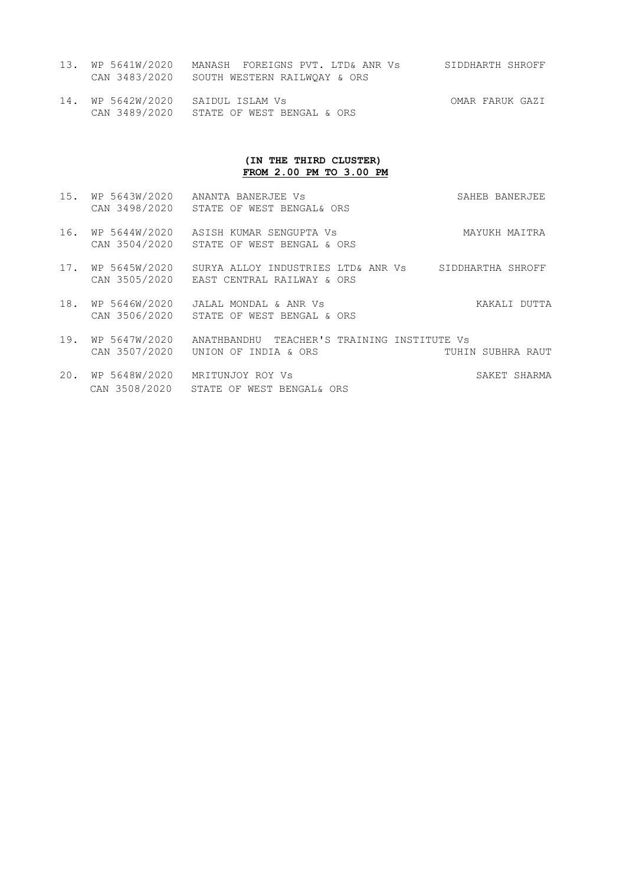- 13. WP 5641W/2020 MANASH FOREIGNS PVT. LTD& ANR Vs SIDDHARTH SHROFF CAN 3483/2020 SOUTH WESTERN RAILWQAY & ORS
- 14. WP 5642W/2020 SAIDUL ISLAM Vs OMAR FARUK GAZI CAN 3489/2020 STATE OF WEST BENGAL & ORS

### **(IN THE THIRD CLUSTER) FROM 2.00 PM TO 3 .00 PM**

- 15. WP 5643W/2020 ANANTA BANERJEE Vs SAHEB BANERJEE CAN 3498/2020 STATE OF WEST BENGAL& ORS
- 16. WP 5644W/2020 ASISH KUMAR SENGUPTA Vs MAYUKH MAITRA CAN 3504/2020 STATE OF WEST BENGAL & ORS
- 17. WP 5645W/2020 SURYA ALLOY INDUSTRIES LTD& ANR Vs SIDDHARTHA SHROFF CAN 3505/2020 EAST CENTRAL RAILWAY & ORS
- 18. WP 5646W/2020 JALAL MONDAL & ANR Vs KAKALI DUTTA CAN 3506/2020 STATE OF WEST BENGAL & ORS
- 19. WP 5647W/2020 ANATHBANDHU TEACHER'S TRAINING INSTITUTE Vs<br>CAN 3507/2020 UNION OF INDIA & ORS TUHIN SUBHRA RAUT CAN  $3507/2020$  UNION OF INDIA & ORS
- 20. WP 5648W/2020 MRITUNJOY ROY Vs SAKET SHARMA CAN 3508/2020 STATE OF WEST BENGAL& ORS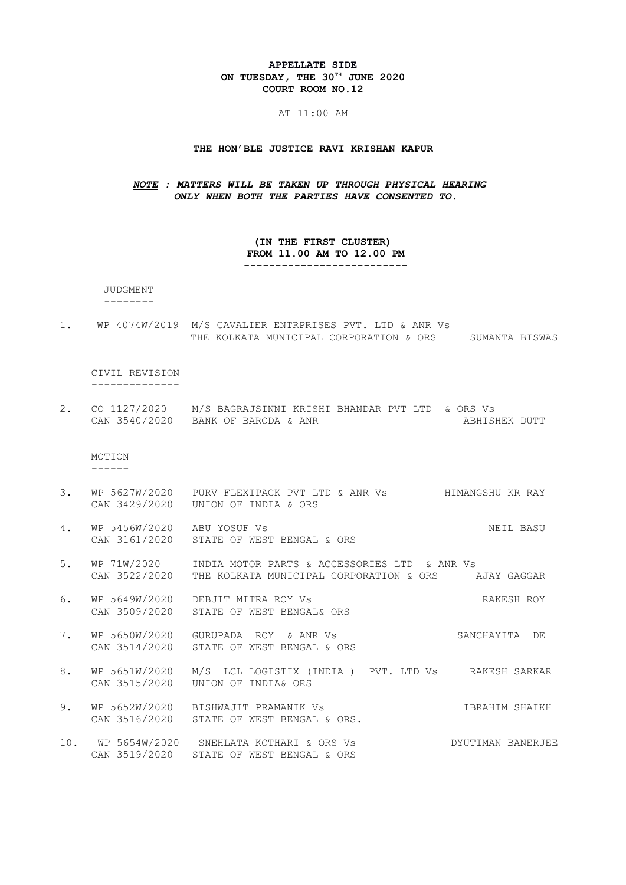#### **APPELLATE SIDE ON TUESDAY, THE 30TH JUNE 2020 COURT ROOM NO.12**

#### AT 11:00 AM

### **THE HON'BLE JUSTICE RAVI KRISHAN KAPUR**

#### *NOTE : MATTERS WILL BE TAKEN UP THROUGH PHYSICAL HEARING ONLY WHEN BOTH THE PARTIES HAVE CONSENTED TO.*

 **(IN THE FIRST CLUSTER) FROM 11.00 AM TO 12.00 PM --------------------------** 

JUDGMENT

- --------
- 1. WP 4074W/2019 M/S CAVALIER ENTRPRISES PVT. LTD & ANR Vs THE KOLKATA MUNICIPAL CORPORATION & ORS SUMANTA BISWAS

CIVIL REVISION --------------

2. CO 1127/2020 M/S BAGRAJSINNI KRISHI BHANDAR PVT LTD & ORS Vs CAN 3540/2020 BANK OF BARODA & ANR ABHISHEK DUTT

 MOTION ------

- 3. WP 5627W/2020 PURV FLEXIPACK PVT LTD & ANR Vs HIMANGSHU KR RAY CAN 3429/2020 UNION OF INDIA & ORS
- 4. WP 5456W/2020 ABU YOSUF Vs NEIL BASU CAN 3161/2020 STATE OF WEST BENGAL & ORS
- 5. WP 71W/2020 INDIA MOTOR PARTS & ACCESSORIES LTD & ANR Vs CAN 3522/2020 THE KOLKATA MUNICIPAL CORPORATION & ORS AJAY GAGGAR
- 6. WP 5649W/2020 DEBJIT MITRA ROY Vs RAKESH ROY CAN 3509/2020 STATE OF WEST BENGAL& ORS
- 7. WP 5650W/2020 GURUPADA ROY & ANR Vs SANCHAYITA DE CAN 3514/2020 STATE OF WEST BENGAL & ORS
- 8. WP 5651W/2020 M/S LCL LOGISTIX (INDIA ) PVT. LTD Vs RAKESH SARKAR CAN 3515/2020 UNION OF INDIA& ORS
- 9. WP 5652W/2020 BISHWAJIT PRAMANIK Vs **IBRAHIM SHAIKH** CAN 3516/2020 STATE OF WEST BENGAL & ORS.
- 10. WP 5654W/2020 SNEHLATA KOTHARI & ORS Vs DYUTIMAN BANERJEE CAN 3519/2020 STATE OF WEST BENGAL & ORS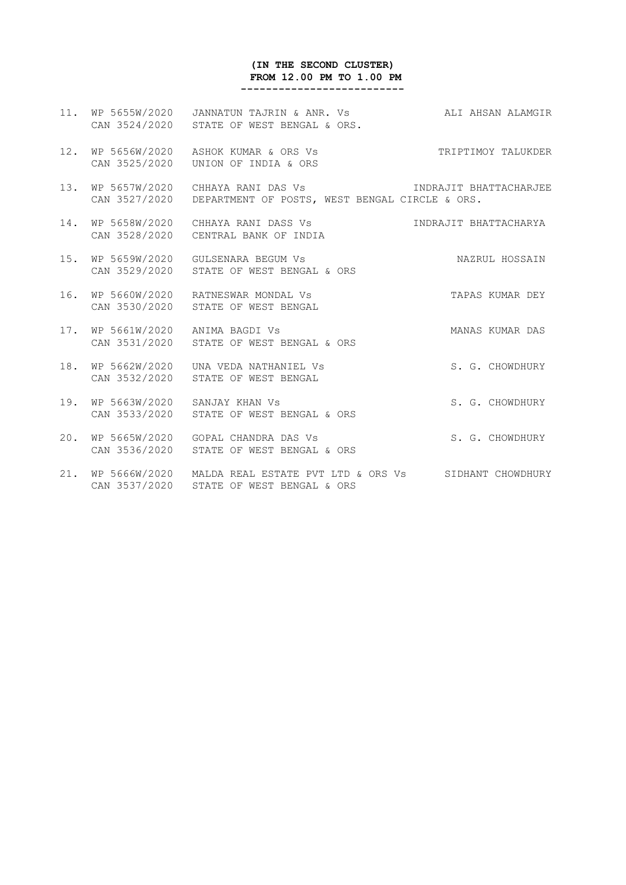# **(IN THE SECOND CLUSTER) FROM 12.00 PM TO 1.00 PM**

 **--------------------------**

|     |                                    | 11. WP 5655W/2020 JANNATUN TAJRIN & ANR. Vs ALL AHSAN ALAMGIR<br>CAN 3524/2020 STATE OF WEST BENGAL & ORS. |                        |
|-----|------------------------------------|------------------------------------------------------------------------------------------------------------|------------------------|
| 12. |                                    | WP 5656W/2020 ASHOK KUMAR & ORS Vs<br>CAN 3525/2020    UNION OF INDIA & ORS                                | TRIPTIMOY TALUKDER     |
|     | 13. WP 5657W/2020<br>CAN 3527/2020 | CHHAYA RANI DAS Vs<br>DEPARTMENT OF POSTS, WEST BENGAL CIRCLE & ORS.                                       | INDRAJIT BHATTACHARJEE |
|     |                                    | 14. WP 5658W/2020 CHHAYA RANI DASS Vs<br>CAN 3528/2020 CENTRAL BANK OF INDIA                               | INDRAJIT BHATTACHARYA  |
|     | 15. WP 5659W/2020                  | GULSENARA BEGUM Vs<br>CAN 3529/2020 STATE OF WEST BENGAL & ORS                                             | NAZRUL HOSSAIN         |
|     |                                    | 16. WP 5660W/2020 RATNESWAR MONDAL Vs<br>CAN 3530/2020 STATE OF WEST BENGAL                                | TAPAS KUMAR DEY        |
|     |                                    | 17. WP 5661W/2020 ANIMA BAGDI Vs<br>CAN 3531/2020 STATE OF WEST BENGAL & ORS                               | MANAS KUMAR DAS        |
|     | 18. WP 5662W/2020<br>CAN 3532/2020 | UNA VEDA NATHANIEL VS<br>STATE OF WEST BENGAL                                                              | S. G. CHOWDHURY        |
|     |                                    | 19. WP 5663W/2020 SANJAY KHAN Vs<br>CAN 3533/2020 STATE OF WEST BENGAL & ORS                               | S. G. CHOWDHURY        |
|     |                                    | 20. WP 5665W/2020 GOPAL CHANDRA DAS Vs<br>CAN 3536/2020 STATE OF WEST BENGAL & ORS                         | S. G. CHOWDHURY        |
|     | 21. WP 5666W/2020                  | MALDA REAL ESTATE PVT LTD & ORS Vs SIDHANT CHOWDHURY                                                       |                        |

CAN 3537/2020 STATE OF WEST BENGAL & ORS